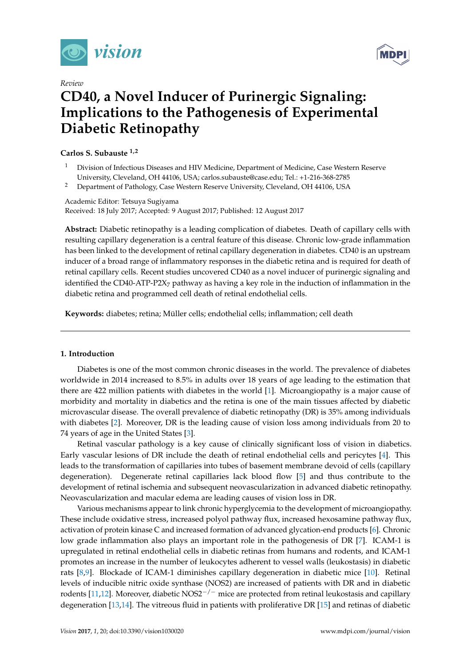

*Review*

# **MDP**

## **CD40, a Novel Inducer of Purinergic Signaling: Implications to the Pathogenesis of Experimental Diabetic Retinopathy**

#### **Carlos S. Subauste 1,2**

- <sup>1</sup> Division of Infectious Diseases and HIV Medicine, Department of Medicine, Case Western Reserve University, Cleveland, OH 44106, USA; carlos.subauste@case.edu; Tel.: +1-216-368-2785
- <sup>2</sup> Department of Pathology, Case Western Reserve University, Cleveland, OH 44106, USA

Academic Editor: Tetsuya Sugiyama Received: 18 July 2017; Accepted: 9 August 2017; Published: 12 August 2017

**Abstract:** Diabetic retinopathy is a leading complication of diabetes. Death of capillary cells with resulting capillary degeneration is a central feature of this disease. Chronic low-grade inflammation has been linked to the development of retinal capillary degeneration in diabetes. CD40 is an upstream inducer of a broad range of inflammatory responses in the diabetic retina and is required for death of retinal capillary cells. Recent studies uncovered CD40 as a novel inducer of purinergic signaling and identified the CD40-ATP-P2 $X_7$  pathway as having a key role in the induction of inflammation in the diabetic retina and programmed cell death of retinal endothelial cells.

**Keywords:** diabetes; retina; Müller cells; endothelial cells; inflammation; cell death

#### **1. Introduction**

Diabetes is one of the most common chronic diseases in the world. The prevalence of diabetes worldwide in 2014 increased to 8.5% in adults over 18 years of age leading to the estimation that there are 422 million patients with diabetes in the world [\[1\]](#page-4-0). Microangiopathy is a major cause of morbidity and mortality in diabetics and the retina is one of the main tissues affected by diabetic microvascular disease. The overall prevalence of diabetic retinopathy (DR) is 35% among individuals with diabetes [\[2\]](#page-4-1). Moreover, DR is the leading cause of vision loss among individuals from 20 to 74 years of age in the United States [\[3\]](#page-4-2).

Retinal vascular pathology is a key cause of clinically significant loss of vision in diabetics. Early vascular lesions of DR include the death of retinal endothelial cells and pericytes [\[4\]](#page-4-3). This leads to the transformation of capillaries into tubes of basement membrane devoid of cells (capillary degeneration). Degenerate retinal capillaries lack blood flow [\[5\]](#page-4-4) and thus contribute to the development of retinal ischemia and subsequent neovascularization in advanced diabetic retinopathy. Neovascularization and macular edema are leading causes of vision loss in DR.

Various mechanisms appear to link chronic hyperglycemia to the development of microangiopathy. These include oxidative stress, increased polyol pathway flux, increased hexosamine pathway flux, activation of protein kinase C and increased formation of advanced glycation-end products [\[6\]](#page-4-5). Chronic low grade inflammation also plays an important role in the pathogenesis of DR [\[7\]](#page-4-6). ICAM-1 is upregulated in retinal endothelial cells in diabetic retinas from humans and rodents, and ICAM-1 promotes an increase in the number of leukocytes adherent to vessel walls (leukostasis) in diabetic rats [\[8](#page-4-7)[,9\]](#page-4-8). Blockade of ICAM-1 diminishes capillary degeneration in diabetic mice [\[10\]](#page-4-9). Retinal levels of inducible nitric oxide synthase (NOS2) are increased of patients with DR and in diabetic rodents [\[11](#page-4-10)[,12\]](#page-4-11). Moreover, diabetic NOS2<sup>-/-</sup> mice are protected from retinal leukostasis and capillary degeneration [\[13](#page-4-12)[,14\]](#page-4-13). The vitreous fluid in patients with proliferative DR [\[15\]](#page-4-14) and retinas of diabetic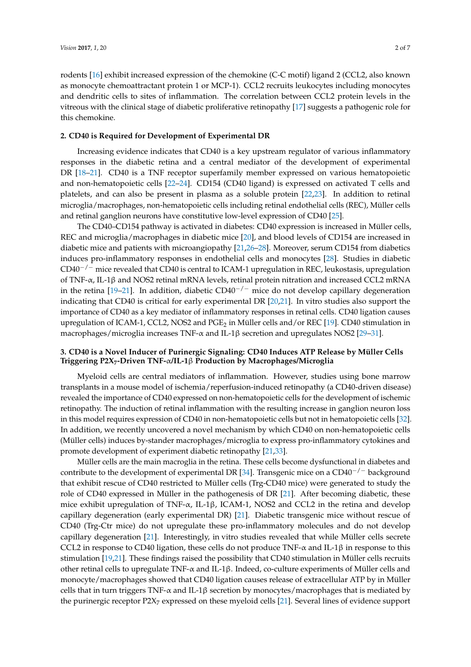rodents [\[16\]](#page-4-15) exhibit increased expression of the chemokine (C-C motif) ligand 2 (CCL2, also known as monocyte chemoattractant protein 1 or MCP-1). CCL2 recruits leukocytes including monocytes and dendritic cells to sites of inflammation. The correlation between CCL2 protein levels in the vitreous with the clinical stage of diabetic proliferative retinopathy [\[17\]](#page-5-0) suggests a pathogenic role for this chemokine.

#### **2. CD40 is Required for Development of Experimental DR**

Increasing evidence indicates that CD40 is a key upstream regulator of various inflammatory responses in the diabetic retina and a central mediator of the development of experimental DR [\[18–](#page-5-1)[21\]](#page-5-2). CD40 is a TNF receptor superfamily member expressed on various hematopoietic and non-hematopoietic cells [\[22–](#page-5-3)[24\]](#page-5-4). CD154 (CD40 ligand) is expressed on activated T cells and platelets, and can also be present in plasma as a soluble protein [\[22,](#page-5-3)[23\]](#page-5-5). In addition to retinal microglia/macrophages, non-hematopoietic cells including retinal endothelial cells (REC), Müller cells and retinal ganglion neurons have constitutive low-level expression of CD40 [\[25\]](#page-5-6).

The CD40–CD154 pathway is activated in diabetes: CD40 expression is increased in Müller cells, REC and microglia/macrophages in diabetic mice [\[20\]](#page-5-7), and blood levels of CD154 are increased in diabetic mice and patients with microangiopathy [\[21,](#page-5-2)[26–](#page-5-8)[28\]](#page-5-9). Moreover, serum CD154 from diabetics induces pro-inflammatory responses in endothelial cells and monocytes [\[28\]](#page-5-9). Studies in diabetic CD40−/<sup>−</sup> mice revealed that CD40 is central to ICAM-1 upregulation in REC, leukostasis, upregulation of TNF-α, IL-1β and NOS2 retinal mRNA levels, retinal protein nitration and increased CCL2 mRNA in the retina [\[19](#page-5-10)[–21\]](#page-5-2). In addition, diabetic  $CD40^{-/-}$  mice do not develop capillary degeneration indicating that CD40 is critical for early experimental DR [\[20](#page-5-7)[,21\]](#page-5-2). In vitro studies also support the importance of CD40 as a key mediator of inflammatory responses in retinal cells. CD40 ligation causes upregulation of ICAM-1, CCL2, NOS2 and PGE<sub>2</sub> in Müller cells and/or REC [\[19\]](#page-5-10). CD40 stimulation in macrophages/microglia increases TNF-α and IL-1β secretion and upregulates NOS2 [\[29](#page-5-11)[–31\]](#page-5-12).

#### **3. CD40 is a Novel Inducer of Purinergic Signaling: CD40 Induces ATP Release by Müller Cells Triggering P2X7-Driven TNF-**α**/IL-1**β **Production by Macrophages/Microglia**

Myeloid cells are central mediators of inflammation. However, studies using bone marrow transplants in a mouse model of ischemia/reperfusion-induced retinopathy (a CD40-driven disease) revealed the importance of CD40 expressed on non-hematopoietic cells for the development of ischemic retinopathy. The induction of retinal inflammation with the resulting increase in ganglion neuron loss in this model requires expression of CD40 in non-hematopoietic cells but not in hematopoietic cells [\[32\]](#page-5-13). In addition, we recently uncovered a novel mechanism by which CD40 on non-hematopoietic cells (Müller cells) induces by-stander macrophages/microglia to express pro-inflammatory cytokines and promote development of experiment diabetic retinopathy [\[21](#page-5-2)[,33\]](#page-5-14).

Müller cells are the main macroglia in the retina. These cells become dysfunctional in diabetes and contribute to the development of experimental DR [\[34\]](#page-5-15). Transgenic mice on a CD40−/<sup>−</sup> background that exhibit rescue of CD40 restricted to Müller cells (Trg-CD40 mice) were generated to study the role of CD40 expressed in Müller in the pathogenesis of DR [\[21\]](#page-5-2). After becoming diabetic, these mice exhibit upregulation of TNF-α, IL-1β, ICAM-1, NOS2 and CCL2 in the retina and develop capillary degeneration (early experimental DR) [\[21\]](#page-5-2). Diabetic transgenic mice without rescue of CD40 (Trg-Ctr mice) do not upregulate these pro-inflammatory molecules and do not develop capillary degeneration [\[21\]](#page-5-2). Interestingly, in vitro studies revealed that while Müller cells secrete CCL2 in response to CD40 ligation, these cells do not produce TNF- $\alpha$  and IL-1 $\beta$  in response to this stimulation [\[19,](#page-5-10)[21\]](#page-5-2). These findings raised the possibility that CD40 stimulation in Müller cells recruits other retinal cells to upregulate TNF- $\alpha$  and IL-1 $\beta$ . Indeed, co-culture experiments of Müller cells and monocyte/macrophages showed that CD40 ligation causes release of extracellular ATP by in Müller cells that in turn triggers TNF- $\alpha$  and IL-1 $\beta$  secretion by monocytes/macrophages that is mediated by the purinergic receptor P2X<sup>7</sup> expressed on these myeloid cells [\[21\]](#page-5-2). Several lines of evidence support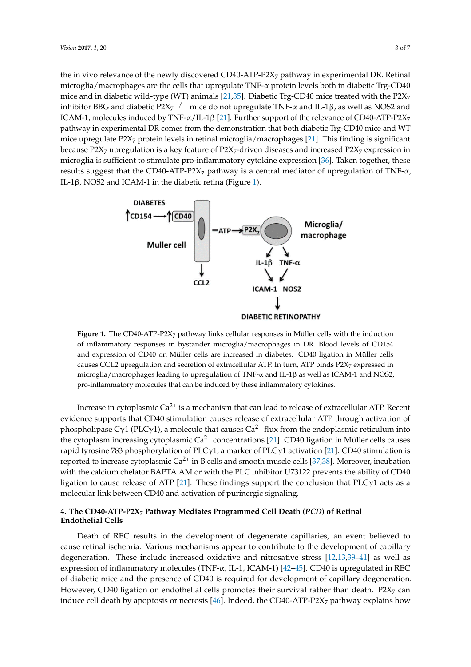the in vivo relevance of the newly discovered CD40-ATP-P2 $X_7$  pathway in experimental DR. Retinal microglia/macrophages are the cells that upregulate TNF- $\alpha$  protein levels both in diabetic Trg-CD40 mice and in diabetic wild-type (WT) animals [\[21](#page-5-2)[,35\]](#page-5-16). Diabetic Trg-CD40 mice treated with the P2 $X_7$ inhibitor BBG and diabetic P2X<sub>7</sub><sup>-/-</sup> mice do not upregulate TNF-α and IL-1β, as well as NOS2 and ICAM-1, molecules induced by TNF- $\alpha$ /IL-1β [\[21\]](#page-5-2). Further support of the relevance of CD40-ATP-P2X<sub>7</sub> pathway in experimental DR comes from the demonstration that both diabetic Trg-CD40 mice and WT mice upregulate  $P2X_7$  protein levels in retinal microglia/macrophages [\[21\]](#page-5-2). This finding is significant because P2 $X_7$  upregulation is a key feature of P2 $X_7$ -driven diseases and increased P2 $X_7$  expression in microglia is sufficient to stimulate pro-inflammatory cytokine expression [\[36\]](#page-6-0). Taken together, these results suggest that the CD40-ATP-P2X<sub>7</sub> pathway is a central mediator of upregulation of TNF- $\alpha$ , IL-1β, NOS2 and ICAM-1 in the diabetic retina (Figure [1\)](#page-2-0).

<span id="page-2-0"></span>

**Figure 1.** The CD40-ATP-P2X7 pathway links cellular responses in Müller cells with the induction of of inflammatory responses in bystander microglia/macrophages in DR. Blood levels of CD154 inflammatory responses in bystander microglia/macrophages in DR. Blood levels of CD154 and and expression of CD40 on Müller cells are increased in diabetes. CD40 ligation in Müller cells expression of CD4 upregulation and secretion of extracellular ATP. In turn, ATP binds P2X<sub>7</sub> expressed in calize CCL2 upregulation and secretion of and the calizer calizer calizer calizer and incroglia/macrophages leading to upregulation of TNF-α and IL-1β as well as ICAM-1 and NOS2,  $\frac{1}{\sqrt{1-\frac{1}{\sqrt{1-\frac{1}{\sqrt{1-\frac{1}{\sqrt{1-\frac{1}{\sqrt{1-\frac{1}{\sqrt{1-\frac{1}{\sqrt{1-\frac{1}{\sqrt{1-\frac{1}{\sqrt{1-\frac{1}{\sqrt{1-\frac{1}{\sqrt{1-\frac{1}{\sqrt{1-\frac{1}{\sqrt{1-\frac{1}{\sqrt{1-\frac{1}{\sqrt{1-\frac{1}{\sqrt{1-\frac{1}{\sqrt{1-\frac{1}{\sqrt{1-\frac{1}{\sqrt{1-\frac{1}{\sqrt{1-\frac{1}{\sqrt{1-\frac{1}{\sqrt{1-\frac{1}{\sqrt{1-\frac{1}{\sqrt{1-\frac{1$ pro-inflammatory molecules that can be induced by these inflammatory cytokines. pro-inflammatory molecules that can be induced by these inflammatory cytokines. Figure 1. The CD40-ATP-P2X<sub>7</sub> pathway links cellular responses in Müller cells with the induction

Increase in cytoplasmic  $Ca^{2+}$  is a mechanism that can lead to release of extracellular ATP. Recent evidence supports that CD40 stimulation causes release of extracellular ATP through activation of evidence supports that CD40 stimulation causes release of extracellular ATP through activation of phospholipase Cγ1 (PLCγ1), a molecule that causes Ca<sup>2+</sup> flux from the endoplasmic reticulum into the cytoplasm increasing cytoplasmic  $Ca^{2+}$  concentrations [\[21\]](#page-5-2). CD40 ligation in Müller cells causes rapid tyrosine 783 phosphorylation of PLCγ1, a marker of PLCγ1 activation [\[21\]](#page-5-2). CD40 stimulation is reported to increase cytoplasmic  $Ca^{2+}$  in B cells and smooth muscle cells [\[37](#page-6-1)[,38\]](#page-6-2). Moreover, incubation with the calcium chelator BAPTA AM or with the PLC inhibitor U73122 prevents the ability of CD40 ligation to cause release of ATP [\[21\]](#page-5-2). These findings support the conclusion that PLC $\gamma$ 1 acts as a molecular link between CD40 and activation of purinergic signaling.

### 4. The CD40-ATP-P2X<sub>7</sub> Pathway Mediates Programmed Cell Death (*PCD*) of Retinal<br>Fridathalial Calla **Cells Endothelial Cells**

Death of REC results in the development of degenerate capillaries, an event believed to cause cause retinal ischemia. Various mechanisms appear to contribute to the development of capillary degeneration. These include increased oxidative and nitrosative stress [\[12](#page-4-11)[,13](#page-4-12)[,39](#page-6-3)[–41\]](#page-6-4) as well as expression of inflammatory molecules (TNF-α, IL-1, ICAM-1) [\[42–](#page-6-5)[45\]](#page-6-6). CD40 is upregulated in REC of diabetic mice and the presence of CD40 is required for development of capillary degeneration. of diabetic mice and the presence of CD40 is required for development of capillary degeneration. However, CD40 ligation on endothelial cells promotes their survival rather than death. P2X<sup>7</sup> can  $\mu_{\rm{1.4\,cm}}$  and  $\mu_{\rm{2.4\,cm}}$  and  $\mu_{\rm{2.4\,cm}}$  cells promotes the interval rather than death. P2X7 can be expected by a survival ratio of  $\mu_{\rm{2.4\,cm}}$  can be expected by a survival ratio of  $\mu_{\rm{2.4\,cm}}$  can induce cell death by apoptosis or necrosis [\[46\]](#page-6-7). Indeed, the CD40-ATP-P2X<sub>7</sub> pathway explains how Death of REC results in the development of degenerate capillaries, an event believed to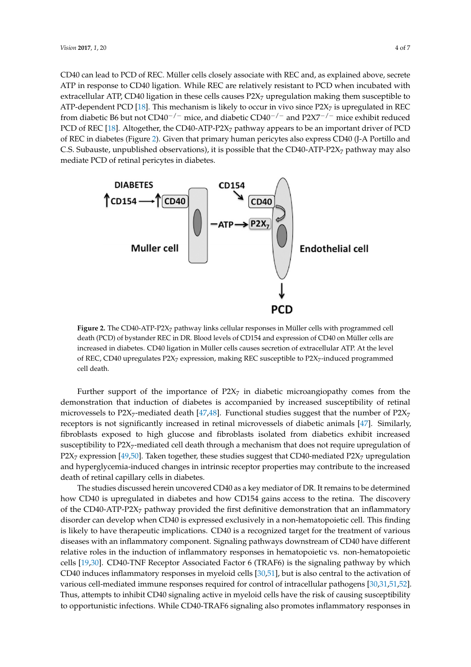CD40 can lead to PCD of REC. Müller cells closely associate with REC and, as explained above, secrete *Vision* 2017, 1, 20 4 of 7 ATP in response to CD40 ligation. While REC are relatively resistant to PCD when incubated with extracellular ATP, CD40 ligation in these cells causes  $P2X_7$  upregulation making them susceptible to ATP-dependent PCD [\[18](#page-5-1)]. This mechanism is likely to occur in vivo since  $P2X<sub>7</sub>$  is upregulated in REC from diabetic B6 but not CD40<sup>−/−</sup> mice, and diabetic CD40<sup>−/−</sup> and P2X7<sup>−/−</sup> mice exhibit reduced PCD of REC [18]. Alt[oge](#page-5-1)ther, the CD40-ATP-P2X<sub>7</sub> pathway appears to be an important driver of PCD of REC in diabetes (Figure 2). Gi[ven](#page-3-0) that primary human pericytes also express CD40 (J-A Portillo and C.S. Subauste, unpublished observations), it is possible that the CD40-ATP-P2X<sub>7</sub> pathway may also mediate PCD of retinal pericytes in diabetes. mediate PCD of retinal pericytes in diabetes.

<span id="page-3-0"></span>

**Figure 2.** The CD40-ATP-P2X7 pathway links cellular responses in Müller cells with programmed cell **Figure 2.** The CD40-ATP-P2X<sup>7</sup> pathway links cellular responses in Müller cells with programmed cell death (PCD) of bystander REC in DR. Blood levels of CD154 and expression of CD40 on Müller cells death (PCD) of bystander REC in DR. Blood levels of CD154 and expression of CD40 on Müller cells are increased in diabetes. CD40 ligation in Müller cells causes secretion of extracellular ATP. At the level of REC, CD40 upregulates P2X<sub>7</sub> expression, making REC susceptible to P2X<sub>7</sub>-induced programmed programmed cell death. cell death.

Further support of the importance of  $P2X_7$  in diabetic microangiopathy comes from the demonstration that induction of diabetes is accompanied by increased susceptibility of retinal demonstration that induction of diabetes is accompanied by increased susceptibility of retinal microvessels to P2X<sub>7</sub>-mediated death [\[47,](#page-6-8)[48\]](#page-6-9). Functional studies suggest that the number of P2X<sub>7</sub> receptors is not significantly increased in retinal microvessels of diabetic animals [47]. Similarly, receptors is not significantly increased in retinal microvessels of diabetic animals [\[47\]](#page-6-8). Similarly, fibroblasts exposed to high glucose and fibroblasts isolated from diabetics exhibit increased fibroblasts exposed to high glucose and fibroblasts isolated from diabetics exhibit increased susceptibility to P2X<sub>7</sub>-mediated cell death through a mechanism that does not require upregulation of  $P2X_7$  expression [\[49](#page-6-10)[,50\]](#page-6-11). Taken together, these studies suggest that CD40-mediated P2X<sub>7</sub> upregulation and hyperglycemia-induced changes in intrinsic receptor properties may contribute to the increased  $\det$  death of retinal capillary cells in diabetes.

The studies discussed herein uncovered CD40 as a key mediator of DR. It remains to be The studies discussed herein uncovered CD40 as a key mediator of DR. It remains to be determined how CD40 is upregulated in diabetes and how CD154 gains access to the retina. The discovery of the CD40-ATP-P2X<sub>7</sub> pathway provided the first definitive demonstration that an inflammatory disorder can develop when CD40 is expressed exclusively in a non-hematopoietic cell. This finding is likely to have therapeutic implications. CD40 is a recognized target for the treatment of various diseases with an inflammatory component. Signaling pathways downstream of CD40 have different relative roles in the induction of inflammatory responses in hematopoietic vs. non-hematopoietic cells [\[19](#page-5-10)[,30\]](#page-5-17). CD40-TNF Receptor Associated Factor 6 (TRAF6) is the signaling pathway by which CD40 induces inflammatory responses in myeloid cells [\[30](#page-5-17)[,51\]](#page-6-12), but is also central to the activation of various cell-mediated immune responses required for control of intracellular pathogens [\[30](#page-5-17)[,31](#page-5-12)[,51,](#page-6-12)[52\]](#page-6-13). Thus, attempts to inhibit CD40 signaling active in myeloid cells have the risk of causing susceptibility  $\epsilon$  causing suspensions while CD40-TRAF6 signaling also promotes inflammatory responses in to opportunistic infections. While CD40-TRAF6 signaling also promotes inflammatory responses in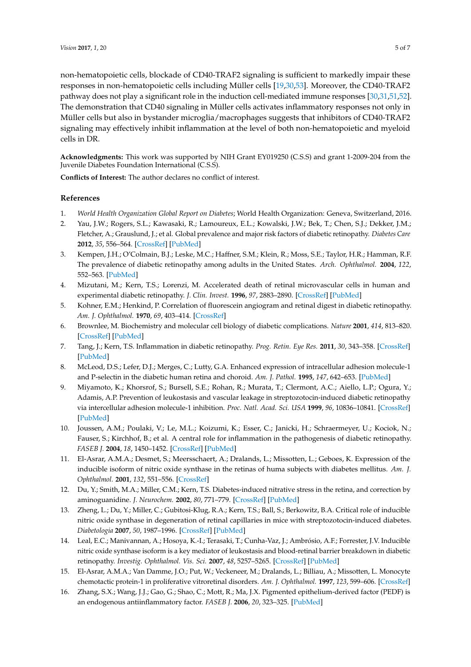non-hematopoietic cells, blockade of CD40-TRAF2 signaling is sufficient to markedly impair these responses in non-hematopoietic cells including Müller cells [\[19](#page-5-10)[,30](#page-5-17)[,53\]](#page-6-14). Moreover, the CD40-TRAF2 pathway does not play a significant role in the induction cell-mediated immune responses [\[30,](#page-5-17)[31](#page-5-12)[,51](#page-6-12)[,52\]](#page-6-13). The demonstration that CD40 signaling in Müller cells activates inflammatory responses not only in Müller cells but also in bystander microglia/macrophages suggests that inhibitors of CD40-TRAF2 signaling may effectively inhibit inflammation at the level of both non-hematopoietic and myeloid cells in DR.

**Acknowledgments:** This work was supported by NIH Grant EY019250 (C.S.S) and grant 1-2009-204 from the Juvenile Diabetes Foundation International (C.S.S).

**Conflicts of Interest:** The author declares no conflict of interest.

#### **References**

- <span id="page-4-0"></span>1. *World Health Organization Global Report on Diabetes*; World Health Organization: Geneva, Switzerland, 2016.
- <span id="page-4-1"></span>2. Yau, J.W.; Rogers, S.L.; Kawasaki, R.; Lamoureux, E.L.; Kowalski, J.W.; Bek, T.; Chen, S.J.; Dekker, J.M.; Fletcher, A.; Grauslund, J.; et al. Global prevalence and major risk factors of diabetic retinopathy. *Diabetes Care* **2012**, *35*, 556–564. [\[CrossRef\]](http://dx.doi.org/10.2337/dc11-1909) [\[PubMed\]](http://www.ncbi.nlm.nih.gov/pubmed/22301125)
- <span id="page-4-2"></span>3. Kempen, J.H.; O'Colmain, B.J.; Leske, M.C.; Haffner, S.M.; Klein, R.; Moss, S.E.; Taylor, H.R.; Hamman, R.F. The prevalence of diabetic retinopathy among adults in the United States. *Arch. Ophthalmol.* **2004**, *122*, 552–563. [\[PubMed\]](http://www.ncbi.nlm.nih.gov/pubmed/15078674)
- <span id="page-4-3"></span>4. Mizutani, M.; Kern, T.S.; Lorenzi, M. Accelerated death of retinal microvascular cells in human and experimental diabetic retinopathy. *J. Clin. Invest.* **1996**, *97*, 2883–2890. [\[CrossRef\]](http://dx.doi.org/10.1172/JCI118746) [\[PubMed\]](http://www.ncbi.nlm.nih.gov/pubmed/8675702)
- <span id="page-4-4"></span>5. Kohner, E.M.; Henkind, P. Correlation of fluorescein angiogram and retinal digest in diabetic retinopathy. *Am. J. Ophthalmol.* **1970**, *69*, 403–414. [\[CrossRef\]](http://dx.doi.org/10.1016/0002-9394(70)92273-7)
- <span id="page-4-5"></span>6. Brownlee, M. Biochemistry and molecular cell biology of diabetic complications. *Nature* **2001**, *414*, 813–820. [\[CrossRef\]](http://dx.doi.org/10.1038/414813a) [\[PubMed\]](http://www.ncbi.nlm.nih.gov/pubmed/11742414)
- <span id="page-4-6"></span>7. Tang, J.; Kern, T.S. Inflammation in diabetic retinopathy. *Prog. Retin. Eye Res.* **2011**, *30*, 343–358. [\[CrossRef\]](http://dx.doi.org/10.1016/j.preteyeres.2011.05.002) [\[PubMed\]](http://www.ncbi.nlm.nih.gov/pubmed/21635964)
- <span id="page-4-7"></span>8. McLeod, D.S.; Lefer, D.J.; Merges, C.; Lutty, G.A. Enhanced expression of intracellular adhesion molecule-1 and P-selectin in the diabetic human retina and choroid. *Am. J. Pathol.* **1995**, *147*, 642–653. [\[PubMed\]](http://www.ncbi.nlm.nih.gov/pubmed/7545873)
- <span id="page-4-8"></span>9. Miyamoto, K.; Khorsrof, S.; Bursell, S.E.; Rohan, R.; Murata, T.; Clermont, A.C.; Aiello, L.P.; Ogura, Y.; Adamis, A.P. Prevention of leukostasis and vascular leakage in streptozotocin-induced diabetic retinopathy via intercellular adhesion molecule-1 inhibition. *Proc. Natl. Acad. Sci. USA* **1999**, *96*, 10836–10841. [\[CrossRef\]](http://dx.doi.org/10.1073/pnas.96.19.10836) [\[PubMed\]](http://www.ncbi.nlm.nih.gov/pubmed/10485912)
- <span id="page-4-9"></span>10. Joussen, A.M.; Poulaki, V.; Le, M.L.; Koizumi, K.; Esser, C.; Janicki, H.; Schraermeyer, U.; Kociok, N.; Fauser, S.; Kirchhof, B.; et al. A central role for inflammation in the pathogenesis of diabetic retinopathy. *FASEB J.* **2004**, *18*, 1450–1452. [\[CrossRef\]](http://dx.doi.org/10.1096/fj.03-1476fje) [\[PubMed\]](http://www.ncbi.nlm.nih.gov/pubmed/15231732)
- <span id="page-4-10"></span>11. El-Asrar, A.M.A.; Desmet, S.; Meersschaert, A.; Dralands, L.; Missotten, L.; Geboes, K. Expression of the inducible isoform of nitric oxide synthase in the retinas of huma subjects with diabetes mellitus. *Am. J. Ophthalmol.* **2001**, *132*, 551–556. [\[CrossRef\]](http://dx.doi.org/10.1016/S0002-9394(01)01127-8)
- <span id="page-4-11"></span>12. Du, Y.; Smith, M.A.; Miller, C.M.; Kern, T.S. Diabetes-induced nitrative stress in the retina, and correction by aminoguanidine. *J. Neurochem.* **2002**, *80*, 771–779. [\[CrossRef\]](http://dx.doi.org/10.1046/j.0022-3042.2001.00737.x) [\[PubMed\]](http://www.ncbi.nlm.nih.gov/pubmed/11948240)
- <span id="page-4-12"></span>13. Zheng, L.; Du, Y.; Miller, C.; Gubitosi-Klug, R.A.; Kern, T.S.; Ball, S.; Berkowitz, B.A. Critical role of inducible nitric oxide synthase in degeneration of retinal capillaries in mice with streptozotocin-induced diabetes. *Diabetologia* **2007**, *50*, 1987–1996. [\[CrossRef\]](http://dx.doi.org/10.1007/s00125-007-0734-9) [\[PubMed\]](http://www.ncbi.nlm.nih.gov/pubmed/17583794)
- <span id="page-4-13"></span>14. Leal, E.C.; Manivannan, A.; Hosoya, K.-I.; Terasaki, T.; Cunha-Vaz, J.; Ambrósio, A.F.; Forrester, J.V. Inducible nitric oxide synthase isoform is a key mediator of leukostasis and blood-retinal barrier breakdown in diabetic retinopathy. *Investig. Ophthalmol. Vis. Sci.* **2007**, *48*, 5257–5265. [\[CrossRef\]](http://dx.doi.org/10.1167/iovs.07-0112) [\[PubMed\]](http://www.ncbi.nlm.nih.gov/pubmed/17962481)
- <span id="page-4-14"></span>15. El-Asrar, A.M.A.; Van Damme, J.O.; Put, W.; Veckeneer, M.; Dralands, L.; Billiau, A.; Missotten, L. Monocyte chemotactic protein-1 in proliferative vitroretinal disorders. *Am. J. Ophthalmol.* **1997**, *123*, 599–606. [\[CrossRef\]](http://dx.doi.org/10.1016/S0002-9394(14)71072-4)
- <span id="page-4-15"></span>16. Zhang, S.X.; Wang, J.J.; Gao, G.; Shao, C.; Mott, R.; Ma, J.X. Pigmented epithelium-derived factor (PEDF) is an endogenous antiinflammatory factor. *FASEB J.* **2006**, *20*, 323–325. [\[PubMed\]](http://www.ncbi.nlm.nih.gov/pubmed/16368716)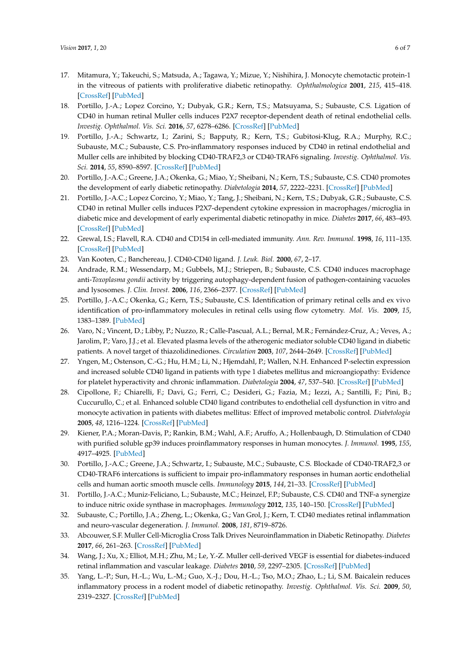- <span id="page-5-0"></span>17. Mitamura, Y.; Takeuchi, S.; Matsuda, A.; Tagawa, Y.; Mizue, Y.; Nishihira, J. Monocyte chemotactic protein-1 in the vitreous of patients with proliferative diabetic retinopathy. *Ophthalmologica* **2001**, *215*, 415–418. [\[CrossRef\]](http://dx.doi.org/10.1159/000050900) [\[PubMed\]](http://www.ncbi.nlm.nih.gov/pubmed/11741107)
- <span id="page-5-1"></span>18. Portillo, J.-A.; Lopez Corcino, Y.; Dubyak, G.R.; Kern, T.S.; Matsuyama, S.; Subauste, C.S. Ligation of CD40 in human retinal Muller cells induces P2X7 receptor-dependent death of retinal endothelial cells. *Investig. Ophthalmol. Vis. Sci.* **2016**, *57*, 6278–6286. [\[CrossRef\]](http://dx.doi.org/10.1167/iovs.16-20301) [\[PubMed\]](http://www.ncbi.nlm.nih.gov/pubmed/27893093)
- <span id="page-5-10"></span>19. Portillo, J.-A.; Schwartz, I.; Zarini, S.; Bapputy, R.; Kern, T.S.; Gubitosi-Klug, R.A.; Murphy, R.C.; Subauste, M.C.; Subauste, C.S. Pro-inflammatory responses induced by CD40 in retinal endothelial and Muller cells are inhibited by blocking CD40-TRAF2,3 or CD40-TRAF6 signaling. *Investig. Ophthalmol. Vis. Sci.* **2014**, *55*, 8590–8597. [\[CrossRef\]](http://dx.doi.org/10.1167/iovs.14-15340) [\[PubMed\]](http://www.ncbi.nlm.nih.gov/pubmed/25477319)
- <span id="page-5-7"></span>20. Portillo, J.-A.C.; Greene, J.A.; Okenka, G.; Miao, Y.; Sheibani, N.; Kern, T.S.; Subauste, C.S. CD40 promotes the development of early diabetic retinopathy. *Diabetologia* **2014**, *57*, 2222–2231. [\[CrossRef\]](http://dx.doi.org/10.1007/s00125-014-3321-x) [\[PubMed\]](http://www.ncbi.nlm.nih.gov/pubmed/25015056)
- <span id="page-5-2"></span>21. Portillo, J.-A.C.; Lopez Corcino, Y.; Miao, Y.; Tang, J.; Sheibani, N.; Kern, T.S.; Dubyak, G.R.; Subauste, C.S. CD40 in retinal Muller cells induces P2X7-dependent cytokine expression in macrophages/microglia in diabetic mice and development of early experimental diabetic retinopathy in mice. *Diabetes* **2017**, *66*, 483–493. [\[CrossRef\]](http://dx.doi.org/10.2337/db16-0051) [\[PubMed\]](http://www.ncbi.nlm.nih.gov/pubmed/27474370)
- <span id="page-5-3"></span>22. Grewal, I.S.; Flavell, R.A. CD40 and CD154 in cell-mediated immunity. *Ann. Rev. Immunol.* **1998**, *16*, 111–135. [\[CrossRef\]](http://dx.doi.org/10.1146/annurev.immunol.16.1.111) [\[PubMed\]](http://www.ncbi.nlm.nih.gov/pubmed/9597126)
- <span id="page-5-5"></span>23. Van Kooten, C.; Banchereau, J. CD40-CD40 ligand. *J. Leuk. Biol.* **2000**, *67*, 2–17.
- <span id="page-5-4"></span>24. Andrade, R.M.; Wessendarp, M.; Gubbels, M.J.; Striepen, B.; Subauste, C.S. CD40 induces macrophage anti-*Toxoplasma gondii* activity by triggering autophagy-dependent fusion of pathogen-containing vacuoles and lysosomes. *J. Clin. Invest.* **2006**, *116*, 2366–2377. [\[CrossRef\]](http://dx.doi.org/10.1172/JCI28796) [\[PubMed\]](http://www.ncbi.nlm.nih.gov/pubmed/16955139)
- <span id="page-5-6"></span>25. Portillo, J.-A.C.; Okenka, G.; Kern, T.S.; Subauste, C.S. Identification of primary retinal cells and ex vivo identification of pro-inflammatory molecules in retinal cells using flow cytometry. *Mol. Vis.* **2009**, *15*, 1383–1389. [\[PubMed\]](http://www.ncbi.nlm.nih.gov/pubmed/19626134)
- <span id="page-5-8"></span>26. Varo, N.; Vincent, D.; Libby, P.; Nuzzo, R.; Calle-Pascual, A.L.; Bernal, M.R.; Fernández-Cruz, A.; Veves, A.; Jarolim, P.; Varo, J.J.; et al. Elevated plasma levels of the atherogenic mediator soluble CD40 ligand in diabetic patients. A novel target of thiazolidinediones. *Circulation* **2003**, *107*, 2644–2649. [\[CrossRef\]](http://dx.doi.org/10.1161/01.CIR.0000074043.46437.44) [\[PubMed\]](http://www.ncbi.nlm.nih.gov/pubmed/12742991)
- 27. Yngen, M.; Ostenson, C.-G.; Hu, H.M.; Li, N.; Hjemdahl, P.; Wallen, N.H. Enhanced P-selectin expression and increased soluble CD40 ligand in patients with type 1 diabetes mellitus and microangiopathy: Evidence for platelet hyperactivity and chronic inflammation. *Diabetologia* **2004**, *47*, 537–540. [\[CrossRef\]](http://dx.doi.org/10.1007/s00125-004-1352-4) [\[PubMed\]](http://www.ncbi.nlm.nih.gov/pubmed/14963650)
- <span id="page-5-9"></span>28. Cipollone, F.; Chiarelli, F.; Davi, G.; Ferri, C.; Desideri, G.; Fazia, M.; Iezzi, A.; Santilli, F.; Pini, B.; Cuccurullo, C.; et al. Enhanced soluble CD40 ligand contributes to endothelial cell dysfunction in vitro and monocyte activation in patients with diabetes mellitus: Effect of improved metabolic control. *Diabetologia* **2005**, *48*, 1216–1224. [\[CrossRef\]](http://dx.doi.org/10.1007/s00125-005-1750-2) [\[PubMed\]](http://www.ncbi.nlm.nih.gov/pubmed/15868137)
- <span id="page-5-11"></span>29. Kiener, P.A.; Moran-Davis, P.; Rankin, B.M.; Wahl, A.F.; Aruffo, A.; Hollenbaugh, D. Stimulation of CD40 with purified soluble gp39 induces proinflammatory responses in human monocytes. *J. Immunol.* **1995**, *155*, 4917–4925. [\[PubMed\]](http://www.ncbi.nlm.nih.gov/pubmed/7594496)
- <span id="page-5-17"></span>30. Portillo, J.-A.C.; Greene, J.A.; Schwartz, I.; Subauste, M.C.; Subauste, C.S. Blockade of CD40-TRAF2,3 or CD40-TRAF6 intercations is sufficient to impair pro-inflammatory responses in human aortic endothelial cells and human aortic smooth muscle cells. *Immunology* **2015**, *144*, 21–33. [\[CrossRef\]](http://dx.doi.org/10.1111/imm.12361) [\[PubMed\]](http://www.ncbi.nlm.nih.gov/pubmed/25051892)
- <span id="page-5-12"></span>31. Portillo, J.-A.C.; Muniz-Feliciano, L.; Subauste, M.C.; Heinzel, F.P.; Subauste, C.S. CD40 and TNF-a synergize to induce nitric oxide synthase in macrophages. *Immunology* **2012**, *135*, 140–150. [\[CrossRef\]](http://dx.doi.org/10.1111/j.1365-2567.2011.03519.x) [\[PubMed\]](http://www.ncbi.nlm.nih.gov/pubmed/22044243)
- <span id="page-5-13"></span>32. Subauste, C.; Portillo, J.A.; Zheng, L.; Okenka, G.; Van Grol, J.; Kern, T. CD40 mediates retinal inflammation and neuro-vascular degeneration. *J. Immunol.* **2008**, *181*, 8719–8726.
- <span id="page-5-14"></span>33. Abcouwer, S.F. Muller Cell-Microglia Cross Talk Drives Neuroinflammation in Diabetic Retinopathy. *Diabetes* **2017**, *66*, 261–263. [\[CrossRef\]](http://dx.doi.org/10.2337/dbi16-0047) [\[PubMed\]](http://www.ncbi.nlm.nih.gov/pubmed/28108606)
- <span id="page-5-15"></span>34. Wang, J.; Xu, X.; Elliot, M.H.; Zhu, M.; Le, Y.-Z. Muller cell-derived VEGF is essential for diabetes-induced retinal inflammation and vascular leakage. *Diabetes* **2010**, *59*, 2297–2305. [\[CrossRef\]](http://dx.doi.org/10.2337/db09-1420) [\[PubMed\]](http://www.ncbi.nlm.nih.gov/pubmed/20530741)
- <span id="page-5-16"></span>35. Yang, L.-P.; Sun, H.-L.; Wu, L.-M.; Guo, X.-J.; Dou, H.-L.; Tso, M.O.; Zhao, L.; Li, S.M. Baicalein reduces inflammatory process in a rodent model of diabetic retinopathy. *Investig. Ophthalmol. Vis. Sci.* **2009**, *50*, 2319–2327. [\[CrossRef\]](http://dx.doi.org/10.1167/iovs.08-2642) [\[PubMed\]](http://www.ncbi.nlm.nih.gov/pubmed/19011009)